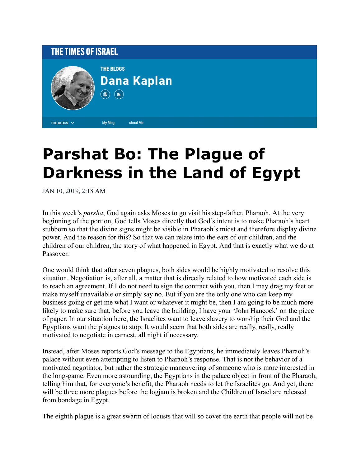

## **Parshat Bo: The Plague of Darkness in the Land of Egypt**

JAN 10, 2019, 2:18 AM

In this week's *parsha*, God again asks Moses to go visit his step-father, Pharaoh. At the very beginning of the portion, God tells Moses directly that God's intent is to make Pharaoh's heart stubborn so that the divine signs might be visible in Pharaoh's midst and therefore display divine power. And the reason for this? So that we can relate into the ears of our children, and the children of our children, the story of what happened in Egypt. And that is exactly what we do at Passover.

One would think that after seven plagues, both sides would be highly motivated to resolve this situation. Negotiation is, after all, a matter that is directly related to how motivated each side is to reach an agreement. If I do not need to sign the contract with you, then I may drag my feet or make myself unavailable or simply say no. But if you are the only one who can keep my business going or get me what I want or whatever it might be, then I am going to be much more likely to make sure that, before you leave the building, I have your 'John Hancock' on the piece of paper. In our situation here, the Israelites want to leave slavery to worship their God and the Egyptians want the plagues to stop. It would seem that both sides are really, really, really motivated to negotiate in earnest, all night if necessary.

Instead, after Moses reports God's message to the Egyptians, he immediately leaves Pharaoh's palace without even attempting to listen to Pharaoh's response. That is not the behavior of a motivated negotiator, but rather the strategic maneuvering of someone who is more interested in the long-game. Even more astounding, the Egyptians in the palace object in front of the Pharaoh, telling him that, for everyone's benefit, the Pharaoh needs to let the Israelites go. And yet, there will be three more plagues before the logjam is broken and the Children of Israel are released from bondage in Egypt.

The eighth plague is a great swarm of locusts that will so cover the earth that people will not be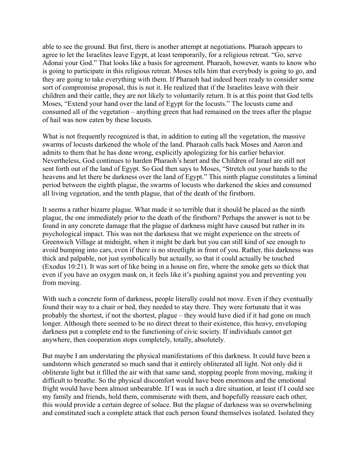able to see the ground. But first, there is another attempt at negotiations. Pharaoh appears to agree to let the Israelites leave Egypt, at least temporarily, for a religious retreat. "Go, serve Adonai your God." That looks like a basis for agreement. Pharaoh, however, wants to know who is going to participate in this religious retreat. Moses tells him that everybody is going to go, and they are going to take everything with them. If Pharaoh had indeed been ready to consider some sort of compromise proposal, this is not it. He realized that if the Israelites leave with their children and their cattle, they are not likely to voluntarily return. It is at this point that God tells Moses, "Extend your hand over the land of Egypt for the locusts." The locusts came and consumed all of the vegetation – anything green that had remained on the trees after the plague of hail was now eaten by these locusts.

What is not frequently recognized is that, in addition to eating all the vegetation, the massive swarms of locusts darkened the whole of the land. Pharaoh calls back Moses and Aaron and admits to them that he has done wrong, explicitly apologizing for his earlier behavior. Nevertheless, God continues to harden Pharaoh's heart and the Children of Israel are still not sent forth out of the land of Egypt. So God then says to Moses, "Stretch out your hands to the heavens and let there be darkness over the land of Egypt." This ninth plague constitutes a liminal period between the eighth plague, the swarms of locusts who darkened the skies and consumed all living vegetation, and the tenth plague, that of the death of the firstborn.

It seems a rather bizarre plague. What made it so terrible that it should be placed as the ninth plague, the one immediately prior to the death of the firstborn? Perhaps the answer is not to be found in any concrete damage that the plague of darkness might have caused but rather in its psychological impact. This was not the darkness that we might experience on the streets of Greenwich Village at midnight, when it might be dark but you can still kind of see enough to avoid bumping into cars, even if there is no streetlight in front of you. Rather, this darkness was thick and palpable, not just symbolically but actually, so that it could actually be touched (Exodus 10:21). It was sort of like being in a house on fire, where the smoke gets so thick that even if you have an oxygen mask on, it feels like it's pushing against you and preventing you from moving.

With such a concrete form of darkness, people literally could not move. Even if they eventually found their way to a chair or bed, they needed to stay there. They were fortunate that it was probably the shortest, if not the shortest, plague – they would have died if it had gone on much longer. Although there seemed to be no direct threat to their existence, this heavy, enveloping darkness put a complete end to the functioning of civic society. If individuals cannot get anywhere, then cooperation stops completely, totally, absolutely.

But maybe I am understating the physical manifestations of this darkness. It could have been a sandstorm which generated so much sand that it entirely obliterated all light. Not only did it obliterate light but it filled the air with that same sand, stopping people from moving, making it difficult to breathe. So the physical discomfort would have been enormous and the emotional fright would have been almost unbearable. If I was in such a dire situation, at least if I could see my family and friends, hold them, commiserate with them, and hopefully reassure each other, this would provide a certain degree of solace. But the plague of darkness was so overwhelming and constituted such a complete attack that each person found themselves isolated. Isolated they